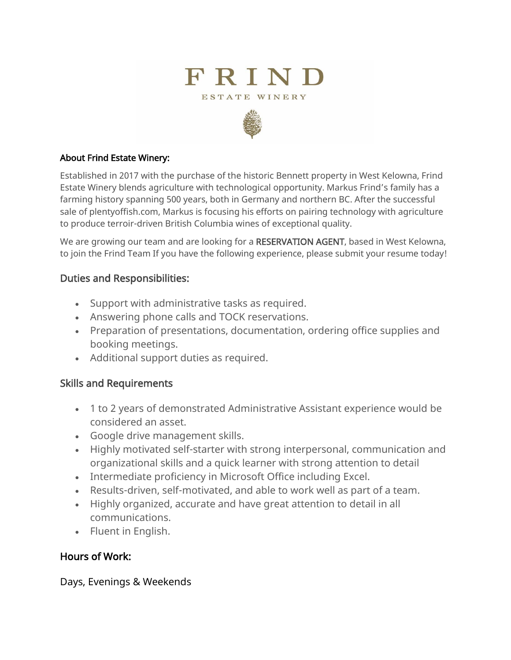



#### About Frind Estate Winery:

Established in 2017 with the purchase of the historic Bennett property in West Kelowna, Frind Estate Winery blends agriculture with technological opportunity. Markus Frind's family has a farming history spanning 500 years, both in Germany and northern BC. After the successful sale of plentyoffish.com, Markus is focusing his efforts on pairing technology with agriculture to produce terroir-driven British Columbia wines of exceptional quality.

We are growing our team and are looking for a RESERVATION AGENT, based in West Kelowna, to join the Frind Team If you have the following experience, please submit your resume today!

#### Duties and Responsibilities:

- Support with administrative tasks as required.
- Answering phone calls and TOCK reservations.
- Preparation of presentations, documentation, ordering office supplies and booking meetings.
- Additional support duties as required.

## Skills and Requirements

- 1 to 2 years of demonstrated Administrative Assistant experience would be considered an asset.
- Google drive management skills.
- Highly motivated self-starter with strong interpersonal, communication and organizational skills and a quick learner with strong attention to detail
- Intermediate proficiency in Microsoft Office including Excel.
- Results-driven, self-motivated, and able to work well as part of a team.
- Highly organized, accurate and have great attention to detail in all communications.
- Fluent in English.

## Hours of Work:

Days, Evenings & Weekends